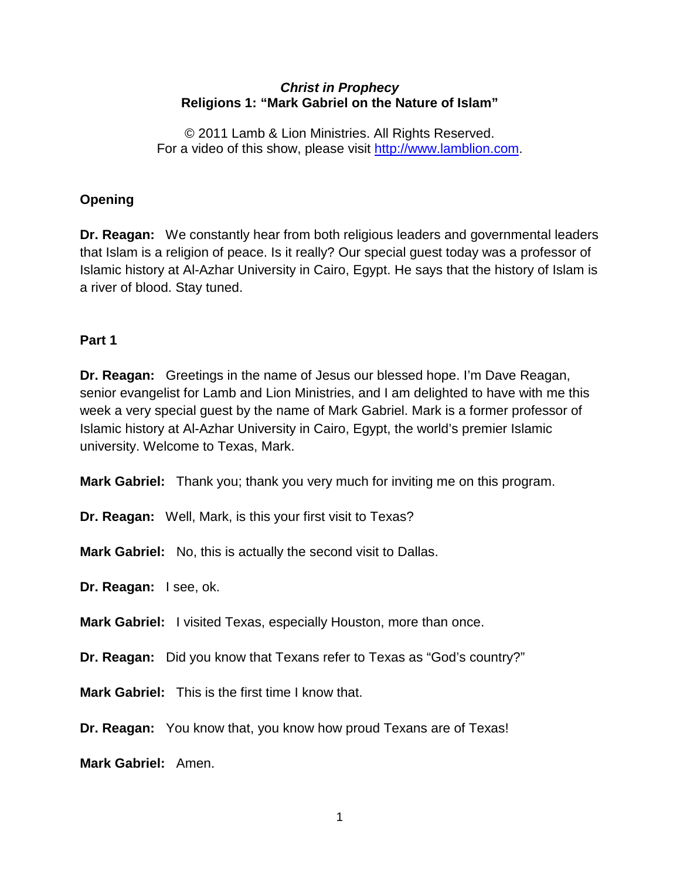#### *Christ in Prophecy* **Religions 1: "Mark Gabriel on the Nature of Islam"**

© 2011 Lamb & Lion Ministries. All Rights Reserved. For a video of this show, please visit [http://www.lamblion.com.](http://www.lamblion.com/)

# **Opening**

**Dr. Reagan:** We constantly hear from both religious leaders and governmental leaders that Islam is a religion of peace. Is it really? Our special guest today was a professor of Islamic history at Al-Azhar University in Cairo, Egypt. He says that the history of Islam is a river of blood. Stay tuned.

#### **Part 1**

**Dr. Reagan:** Greetings in the name of Jesus our blessed hope. I'm Dave Reagan, senior evangelist for Lamb and Lion Ministries, and I am delighted to have with me this week a very special guest by the name of Mark Gabriel. Mark is a former professor of Islamic history at Al-Azhar University in Cairo, Egypt, the world's premier Islamic university. Welcome to Texas, Mark.

**Mark Gabriel:** Thank you; thank you very much for inviting me on this program.

**Dr. Reagan:** Well, Mark, is this your first visit to Texas?

**Mark Gabriel:** No, this is actually the second visit to Dallas.

**Dr. Reagan:** I see, ok.

**Mark Gabriel:** I visited Texas, especially Houston, more than once.

**Dr. Reagan:** Did you know that Texans refer to Texas as "God's country?"

**Mark Gabriel:** This is the first time I know that.

**Dr. Reagan:** You know that, you know how proud Texans are of Texas!

**Mark Gabriel:** Amen.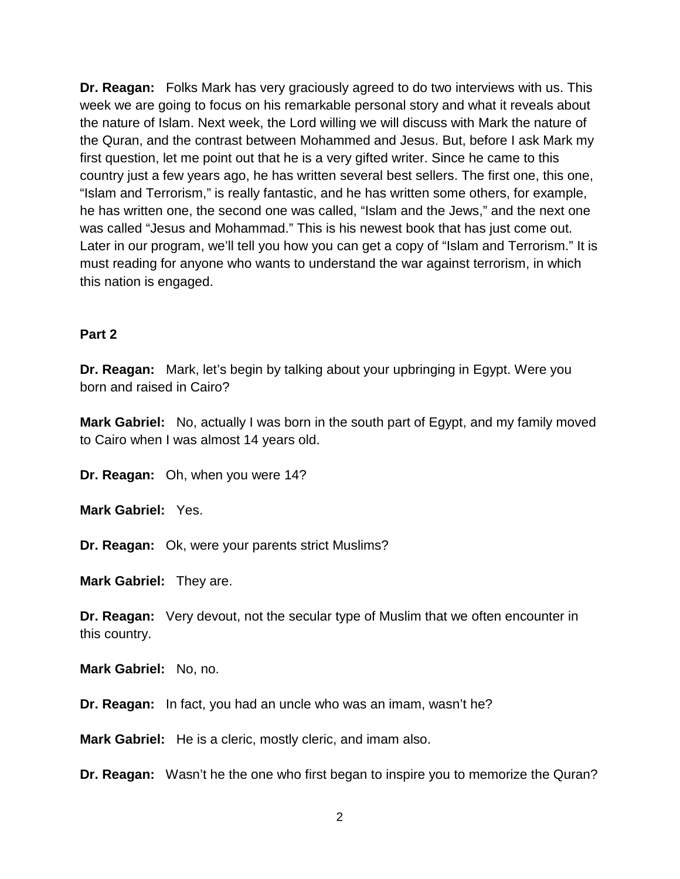**Dr. Reagan:** Folks Mark has very graciously agreed to do two interviews with us. This week we are going to focus on his remarkable personal story and what it reveals about the nature of Islam. Next week, the Lord willing we will discuss with Mark the nature of the Quran, and the contrast between Mohammed and Jesus. But, before I ask Mark my first question, let me point out that he is a very gifted writer. Since he came to this country just a few years ago, he has written several best sellers. The first one, this one, "Islam and Terrorism," is really fantastic, and he has written some others, for example, he has written one, the second one was called, "Islam and the Jews," and the next one was called "Jesus and Mohammad." This is his newest book that has just come out. Later in our program, we'll tell you how you can get a copy of "Islam and Terrorism." It is must reading for anyone who wants to understand the war against terrorism, in which this nation is engaged.

#### **Part 2**

**Dr. Reagan:** Mark, let's begin by talking about your upbringing in Egypt. Were you born and raised in Cairo?

**Mark Gabriel:** No, actually I was born in the south part of Egypt, and my family moved to Cairo when I was almost 14 years old.

**Dr. Reagan:** Oh, when you were 14?

**Mark Gabriel:** Yes.

**Dr. Reagan:** Ok, were your parents strict Muslims?

**Mark Gabriel:** They are.

**Dr. Reagan:** Very devout, not the secular type of Muslim that we often encounter in this country.

**Mark Gabriel:** No, no.

**Dr. Reagan:** In fact, you had an uncle who was an imam, wasn't he?

**Mark Gabriel:** He is a cleric, mostly cleric, and imam also.

**Dr. Reagan:** Wasn't he the one who first began to inspire you to memorize the Quran?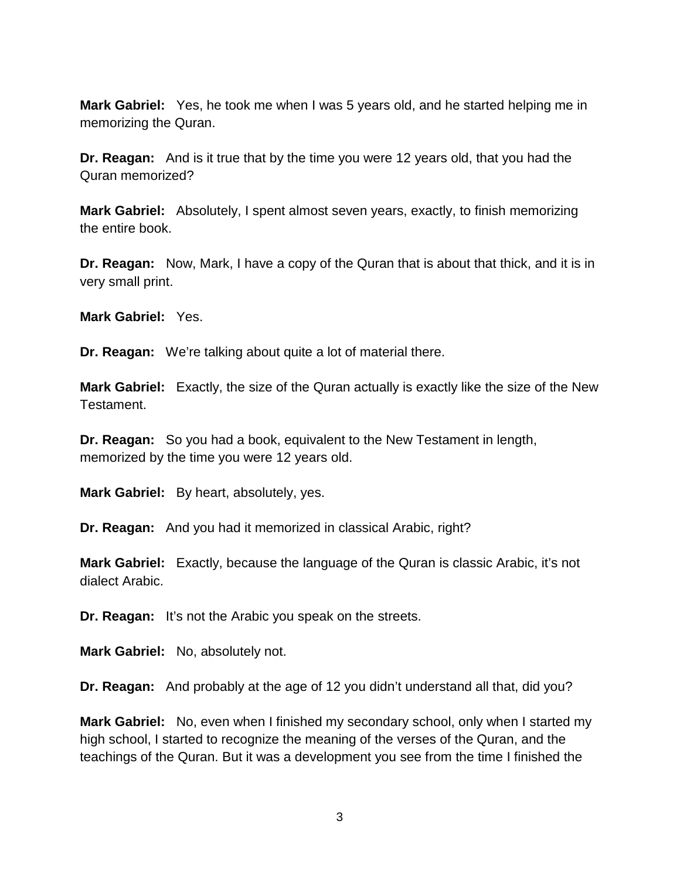**Mark Gabriel:** Yes, he took me when I was 5 years old, and he started helping me in memorizing the Quran.

**Dr. Reagan:** And is it true that by the time you were 12 years old, that you had the Quran memorized?

**Mark Gabriel:** Absolutely, I spent almost seven years, exactly, to finish memorizing the entire book.

**Dr. Reagan:** Now, Mark, I have a copy of the Quran that is about that thick, and it is in very small print.

**Mark Gabriel:** Yes.

**Dr. Reagan:** We're talking about quite a lot of material there.

**Mark Gabriel:** Exactly, the size of the Quran actually is exactly like the size of the New Testament.

**Dr. Reagan:** So you had a book, equivalent to the New Testament in length, memorized by the time you were 12 years old.

**Mark Gabriel:** By heart, absolutely, yes.

**Dr. Reagan:** And you had it memorized in classical Arabic, right?

**Mark Gabriel:** Exactly, because the language of the Quran is classic Arabic, it's not dialect Arabic.

**Dr. Reagan:** It's not the Arabic you speak on the streets.

**Mark Gabriel:** No, absolutely not.

**Dr. Reagan:** And probably at the age of 12 you didn't understand all that, did you?

**Mark Gabriel:** No, even when I finished my secondary school, only when I started my high school, I started to recognize the meaning of the verses of the Quran, and the teachings of the Quran. But it was a development you see from the time I finished the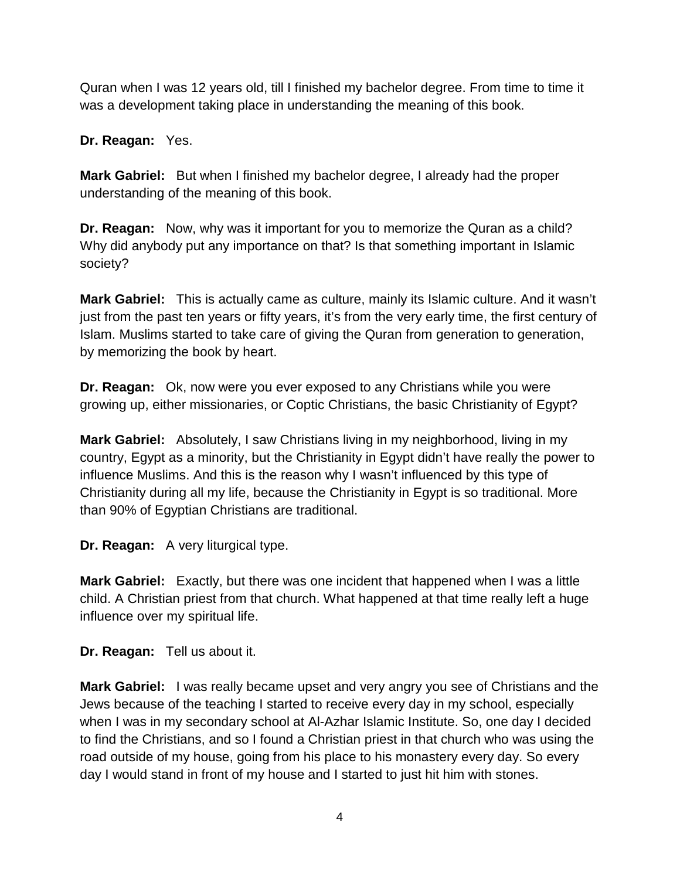Quran when I was 12 years old, till I finished my bachelor degree. From time to time it was a development taking place in understanding the meaning of this book.

**Dr. Reagan:** Yes.

**Mark Gabriel:** But when I finished my bachelor degree, I already had the proper understanding of the meaning of this book.

**Dr. Reagan:** Now, why was it important for you to memorize the Quran as a child? Why did anybody put any importance on that? Is that something important in Islamic society?

**Mark Gabriel:** This is actually came as culture, mainly its Islamic culture. And it wasn't just from the past ten years or fifty years, it's from the very early time, the first century of Islam. Muslims started to take care of giving the Quran from generation to generation, by memorizing the book by heart.

**Dr. Reagan:** Ok, now were you ever exposed to any Christians while you were growing up, either missionaries, or Coptic Christians, the basic Christianity of Egypt?

**Mark Gabriel:** Absolutely, I saw Christians living in my neighborhood, living in my country, Egypt as a minority, but the Christianity in Egypt didn't have really the power to influence Muslims. And this is the reason why I wasn't influenced by this type of Christianity during all my life, because the Christianity in Egypt is so traditional. More than 90% of Egyptian Christians are traditional.

**Dr. Reagan:** A very liturgical type.

**Mark Gabriel:** Exactly, but there was one incident that happened when I was a little child. A Christian priest from that church. What happened at that time really left a huge influence over my spiritual life.

**Dr. Reagan:** Tell us about it.

**Mark Gabriel:** I was really became upset and very angry you see of Christians and the Jews because of the teaching I started to receive every day in my school, especially when I was in my secondary school at Al-Azhar Islamic Institute. So, one day I decided to find the Christians, and so I found a Christian priest in that church who was using the road outside of my house, going from his place to his monastery every day. So every day I would stand in front of my house and I started to just hit him with stones.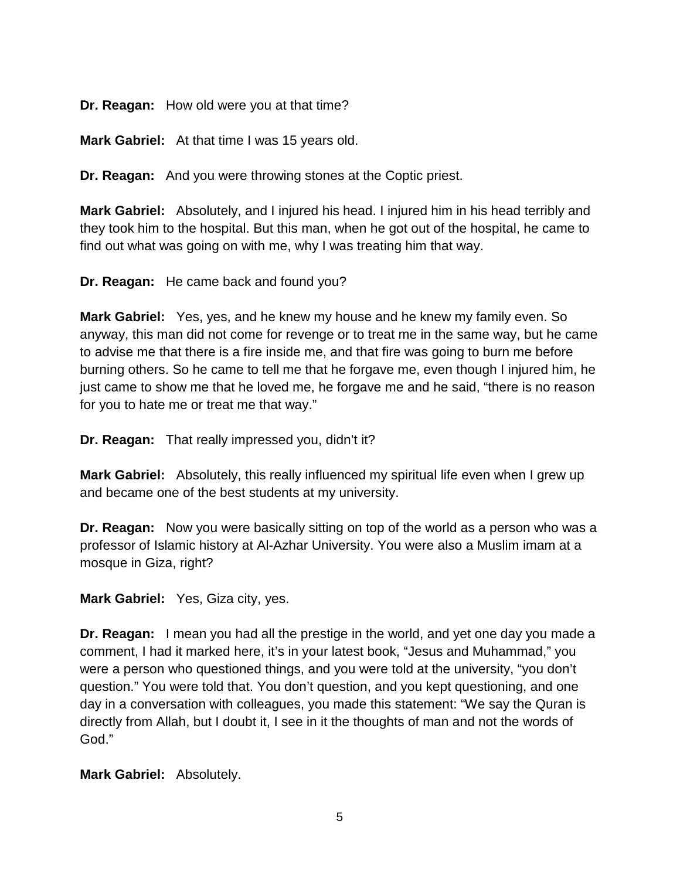**Dr. Reagan:** How old were you at that time?

**Mark Gabriel:** At that time I was 15 years old.

**Dr. Reagan:** And you were throwing stones at the Coptic priest.

**Mark Gabriel:** Absolutely, and I injured his head. I injured him in his head terribly and they took him to the hospital. But this man, when he got out of the hospital, he came to find out what was going on with me, why I was treating him that way.

**Dr. Reagan:** He came back and found you?

**Mark Gabriel:** Yes, yes, and he knew my house and he knew my family even. So anyway, this man did not come for revenge or to treat me in the same way, but he came to advise me that there is a fire inside me, and that fire was going to burn me before burning others. So he came to tell me that he forgave me, even though I injured him, he just came to show me that he loved me, he forgave me and he said, "there is no reason for you to hate me or treat me that way."

**Dr. Reagan:** That really impressed you, didn't it?

**Mark Gabriel:** Absolutely, this really influenced my spiritual life even when I grew up and became one of the best students at my university.

**Dr. Reagan:** Now you were basically sitting on top of the world as a person who was a professor of Islamic history at Al-Azhar University. You were also a Muslim imam at a mosque in Giza, right?

**Mark Gabriel:** Yes, Giza city, yes.

**Dr. Reagan:** I mean you had all the prestige in the world, and yet one day you made a comment, I had it marked here, it's in your latest book, "Jesus and Muhammad," you were a person who questioned things, and you were told at the university, "you don't question." You were told that. You don't question, and you kept questioning, and one day in a conversation with colleagues, you made this statement: "We say the Quran is directly from Allah, but I doubt it, I see in it the thoughts of man and not the words of God."

**Mark Gabriel:** Absolutely.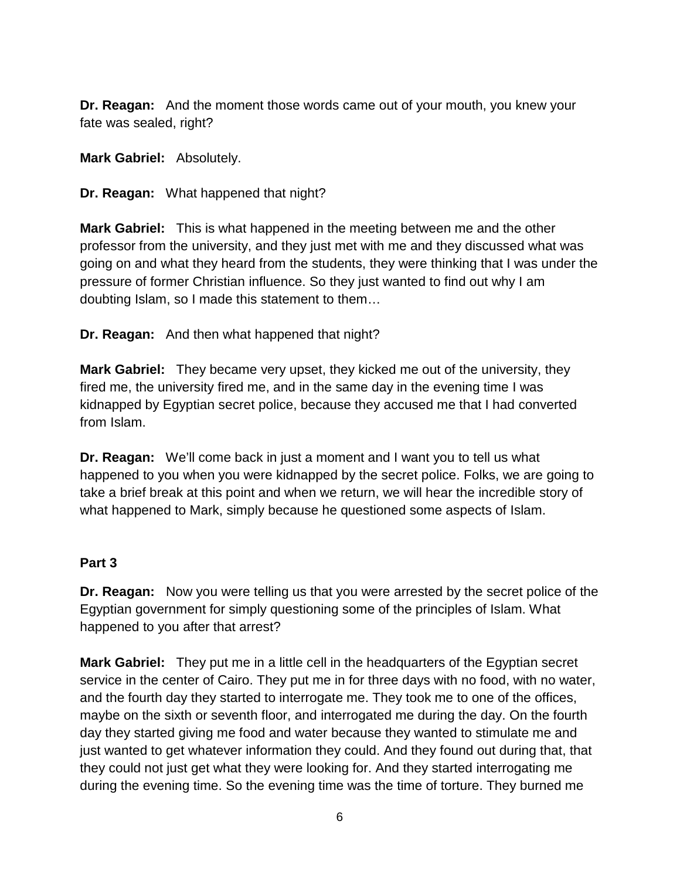**Dr. Reagan:** And the moment those words came out of your mouth, you knew your fate was sealed, right?

**Mark Gabriel:** Absolutely.

**Dr. Reagan:** What happened that night?

**Mark Gabriel:** This is what happened in the meeting between me and the other professor from the university, and they just met with me and they discussed what was going on and what they heard from the students, they were thinking that I was under the pressure of former Christian influence. So they just wanted to find out why I am doubting Islam, so I made this statement to them…

**Dr. Reagan:** And then what happened that night?

**Mark Gabriel:** They became very upset, they kicked me out of the university, they fired me, the university fired me, and in the same day in the evening time I was kidnapped by Egyptian secret police, because they accused me that I had converted from Islam.

**Dr. Reagan:** We'll come back in just a moment and I want you to tell us what happened to you when you were kidnapped by the secret police. Folks, we are going to take a brief break at this point and when we return, we will hear the incredible story of what happened to Mark, simply because he questioned some aspects of Islam.

## **Part 3**

**Dr. Reagan:** Now you were telling us that you were arrested by the secret police of the Egyptian government for simply questioning some of the principles of Islam. What happened to you after that arrest?

**Mark Gabriel:** They put me in a little cell in the headquarters of the Egyptian secret service in the center of Cairo. They put me in for three days with no food, with no water, and the fourth day they started to interrogate me. They took me to one of the offices, maybe on the sixth or seventh floor, and interrogated me during the day. On the fourth day they started giving me food and water because they wanted to stimulate me and just wanted to get whatever information they could. And they found out during that, that they could not just get what they were looking for. And they started interrogating me during the evening time. So the evening time was the time of torture. They burned me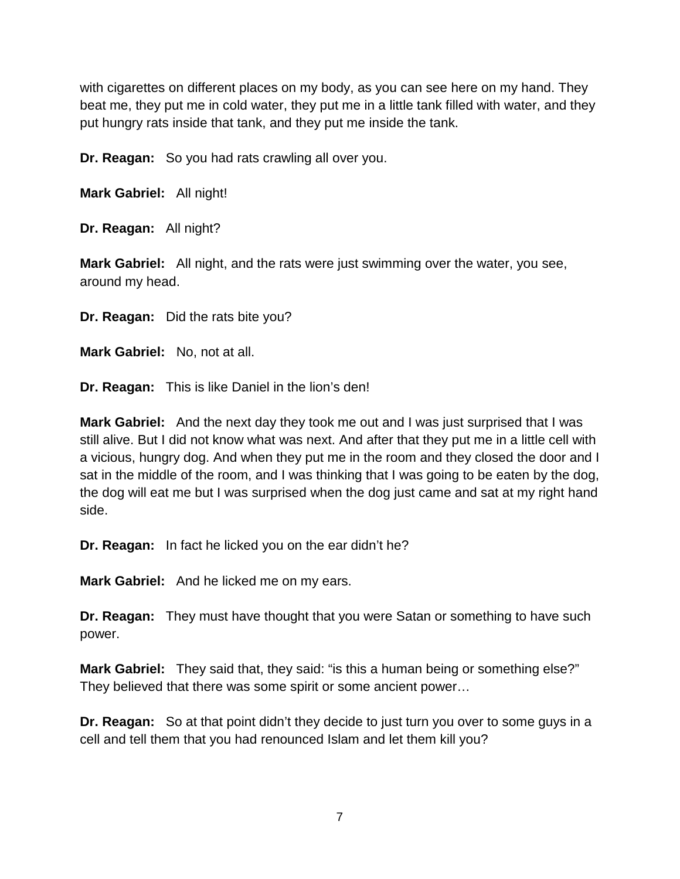with cigarettes on different places on my body, as you can see here on my hand. They beat me, they put me in cold water, they put me in a little tank filled with water, and they put hungry rats inside that tank, and they put me inside the tank.

**Dr. Reagan:** So you had rats crawling all over you.

**Mark Gabriel:** All night!

**Dr. Reagan:** All night?

**Mark Gabriel:** All night, and the rats were just swimming over the water, you see, around my head.

**Dr. Reagan:** Did the rats bite you?

**Mark Gabriel:** No, not at all.

**Dr. Reagan:** This is like Daniel in the lion's den!

**Mark Gabriel:** And the next day they took me out and I was just surprised that I was still alive. But I did not know what was next. And after that they put me in a little cell with a vicious, hungry dog. And when they put me in the room and they closed the door and I sat in the middle of the room, and I was thinking that I was going to be eaten by the dog, the dog will eat me but I was surprised when the dog just came and sat at my right hand side.

**Dr. Reagan:** In fact he licked you on the ear didn't he?

**Mark Gabriel:** And he licked me on my ears.

**Dr. Reagan:** They must have thought that you were Satan or something to have such power.

**Mark Gabriel:** They said that, they said: "is this a human being or something else?" They believed that there was some spirit or some ancient power…

**Dr. Reagan:** So at that point didn't they decide to just turn you over to some guys in a cell and tell them that you had renounced Islam and let them kill you?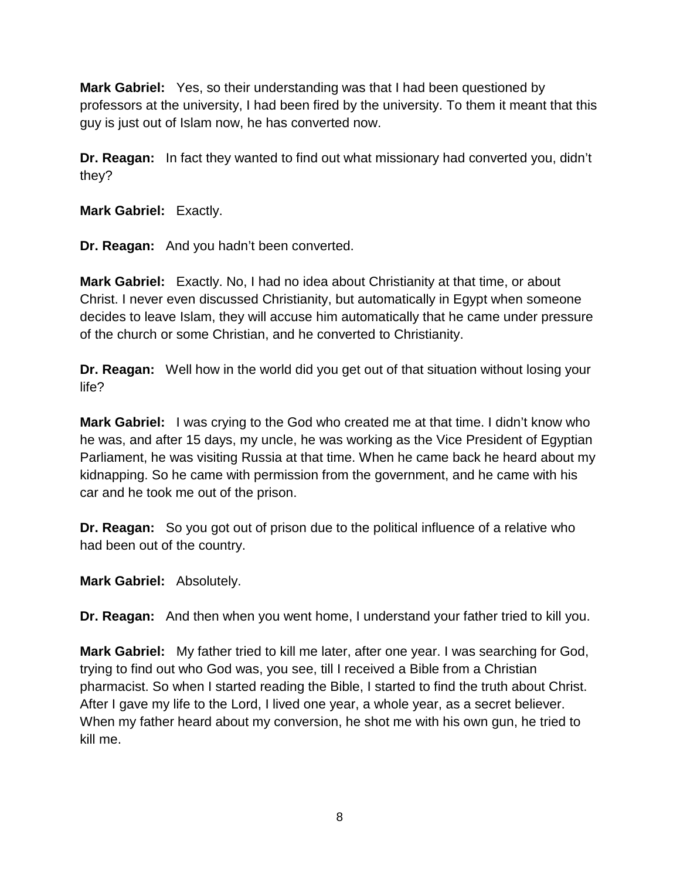**Mark Gabriel:** Yes, so their understanding was that I had been questioned by professors at the university, I had been fired by the university. To them it meant that this guy is just out of Islam now, he has converted now.

**Dr. Reagan:** In fact they wanted to find out what missionary had converted you, didn't they?

**Mark Gabriel:** Exactly.

**Dr. Reagan:** And you hadn't been converted.

**Mark Gabriel:** Exactly. No, I had no idea about Christianity at that time, or about Christ. I never even discussed Christianity, but automatically in Egypt when someone decides to leave Islam, they will accuse him automatically that he came under pressure of the church or some Christian, and he converted to Christianity.

**Dr. Reagan:** Well how in the world did you get out of that situation without losing your life?

**Mark Gabriel:** I was crying to the God who created me at that time. I didn't know who he was, and after 15 days, my uncle, he was working as the Vice President of Egyptian Parliament, he was visiting Russia at that time. When he came back he heard about my kidnapping. So he came with permission from the government, and he came with his car and he took me out of the prison.

**Dr. Reagan:** So you got out of prison due to the political influence of a relative who had been out of the country.

**Mark Gabriel:** Absolutely.

**Dr. Reagan:** And then when you went home, I understand your father tried to kill you.

**Mark Gabriel:** My father tried to kill me later, after one year. I was searching for God, trying to find out who God was, you see, till I received a Bible from a Christian pharmacist. So when I started reading the Bible, I started to find the truth about Christ. After I gave my life to the Lord, I lived one year, a whole year, as a secret believer. When my father heard about my conversion, he shot me with his own gun, he tried to kill me.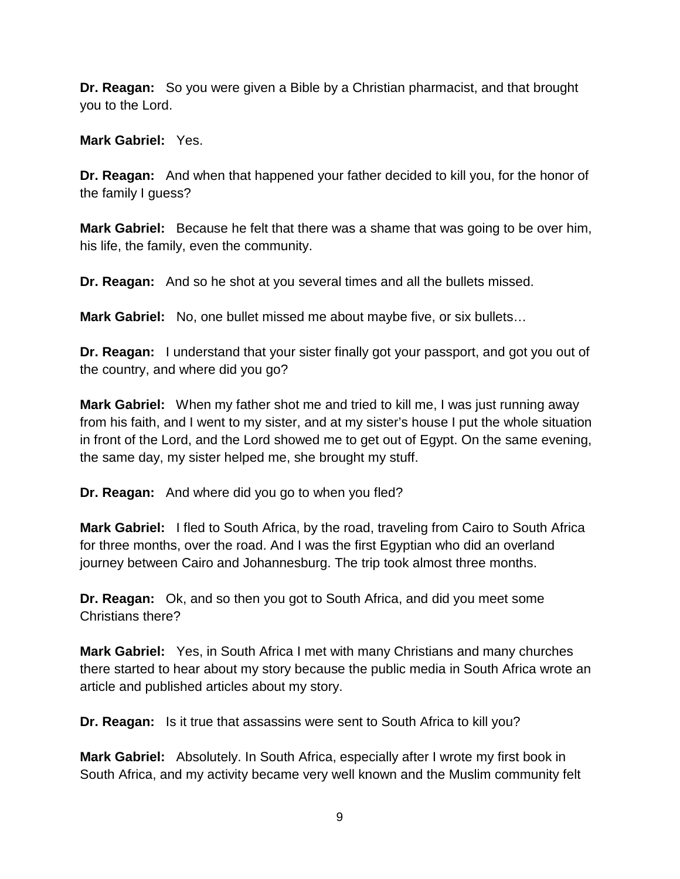**Dr. Reagan:** So you were given a Bible by a Christian pharmacist, and that brought you to the Lord.

**Mark Gabriel:** Yes.

**Dr. Reagan:** And when that happened your father decided to kill you, for the honor of the family I guess?

**Mark Gabriel:** Because he felt that there was a shame that was going to be over him, his life, the family, even the community.

**Dr. Reagan:** And so he shot at you several times and all the bullets missed.

**Mark Gabriel:** No, one bullet missed me about maybe five, or six bullets…

**Dr. Reagan:** I understand that your sister finally got your passport, and got you out of the country, and where did you go?

**Mark Gabriel:** When my father shot me and tried to kill me, I was just running away from his faith, and I went to my sister, and at my sister's house I put the whole situation in front of the Lord, and the Lord showed me to get out of Egypt. On the same evening, the same day, my sister helped me, she brought my stuff.

**Dr. Reagan:** And where did you go to when you fled?

**Mark Gabriel:** I fled to South Africa, by the road, traveling from Cairo to South Africa for three months, over the road. And I was the first Egyptian who did an overland journey between Cairo and Johannesburg. The trip took almost three months.

**Dr. Reagan:** Ok, and so then you got to South Africa, and did you meet some Christians there?

**Mark Gabriel:** Yes, in South Africa I met with many Christians and many churches there started to hear about my story because the public media in South Africa wrote an article and published articles about my story.

**Dr. Reagan:** Is it true that assassins were sent to South Africa to kill you?

**Mark Gabriel:** Absolutely. In South Africa, especially after I wrote my first book in South Africa, and my activity became very well known and the Muslim community felt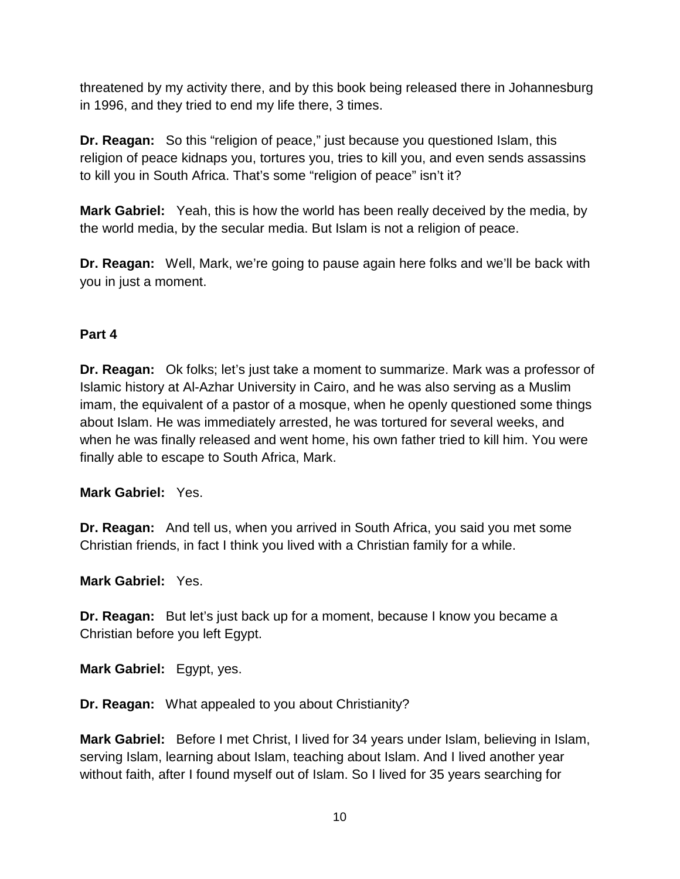threatened by my activity there, and by this book being released there in Johannesburg in 1996, and they tried to end my life there, 3 times.

**Dr. Reagan:** So this "religion of peace," just because you questioned Islam, this religion of peace kidnaps you, tortures you, tries to kill you, and even sends assassins to kill you in South Africa. That's some "religion of peace" isn't it?

**Mark Gabriel:** Yeah, this is how the world has been really deceived by the media, by the world media, by the secular media. But Islam is not a religion of peace.

**Dr. Reagan:** Well, Mark, we're going to pause again here folks and we'll be back with you in just a moment.

# **Part 4**

**Dr. Reagan:** Ok folks; let's just take a moment to summarize. Mark was a professor of Islamic history at Al-Azhar University in Cairo, and he was also serving as a Muslim imam, the equivalent of a pastor of a mosque, when he openly questioned some things about Islam. He was immediately arrested, he was tortured for several weeks, and when he was finally released and went home, his own father tried to kill him. You were finally able to escape to South Africa, Mark.

**Mark Gabriel:** Yes.

**Dr. Reagan:** And tell us, when you arrived in South Africa, you said you met some Christian friends, in fact I think you lived with a Christian family for a while.

**Mark Gabriel:** Yes.

**Dr. Reagan:** But let's just back up for a moment, because I know you became a Christian before you left Egypt.

**Mark Gabriel:** Egypt, yes.

**Dr. Reagan:** What appealed to you about Christianity?

**Mark Gabriel:** Before I met Christ, I lived for 34 years under Islam, believing in Islam, serving Islam, learning about Islam, teaching about Islam. And I lived another year without faith, after I found myself out of Islam. So I lived for 35 years searching for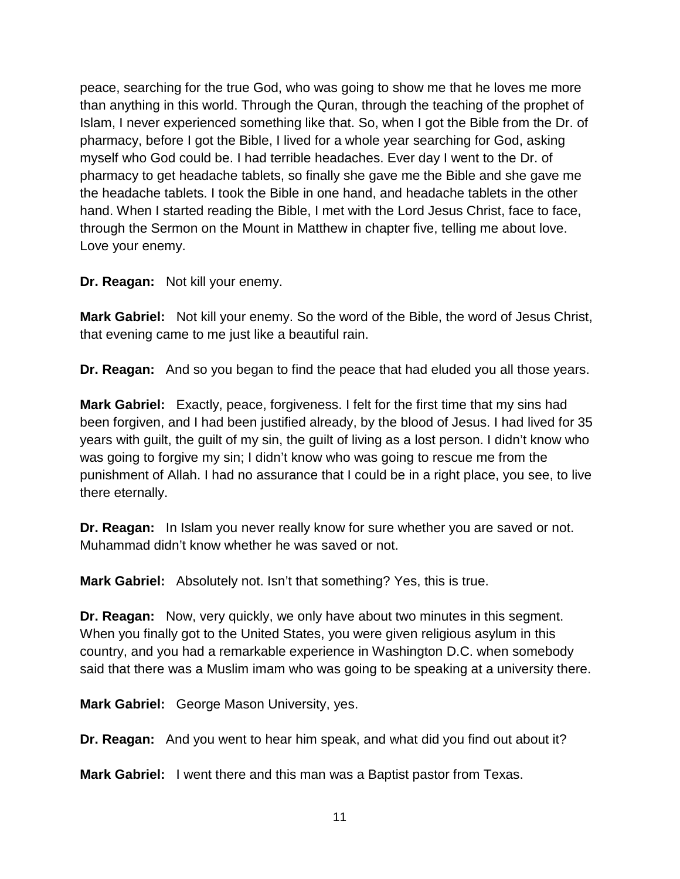peace, searching for the true God, who was going to show me that he loves me more than anything in this world. Through the Quran, through the teaching of the prophet of Islam, I never experienced something like that. So, when I got the Bible from the Dr. of pharmacy, before I got the Bible, I lived for a whole year searching for God, asking myself who God could be. I had terrible headaches. Ever day I went to the Dr. of pharmacy to get headache tablets, so finally she gave me the Bible and she gave me the headache tablets. I took the Bible in one hand, and headache tablets in the other hand. When I started reading the Bible, I met with the Lord Jesus Christ, face to face, through the Sermon on the Mount in Matthew in chapter five, telling me about love. Love your enemy.

**Dr. Reagan:** Not kill your enemy.

**Mark Gabriel:** Not kill your enemy. So the word of the Bible, the word of Jesus Christ, that evening came to me just like a beautiful rain.

**Dr. Reagan:** And so you began to find the peace that had eluded you all those years.

**Mark Gabriel:** Exactly, peace, forgiveness. I felt for the first time that my sins had been forgiven, and I had been justified already, by the blood of Jesus. I had lived for 35 years with guilt, the guilt of my sin, the guilt of living as a lost person. I didn't know who was going to forgive my sin; I didn't know who was going to rescue me from the punishment of Allah. I had no assurance that I could be in a right place, you see, to live there eternally.

**Dr. Reagan:** In Islam you never really know for sure whether you are saved or not. Muhammad didn't know whether he was saved or not.

**Mark Gabriel:** Absolutely not. Isn't that something? Yes, this is true.

**Dr. Reagan:** Now, very quickly, we only have about two minutes in this segment. When you finally got to the United States, you were given religious asylum in this country, and you had a remarkable experience in Washington D.C. when somebody said that there was a Muslim imam who was going to be speaking at a university there.

**Mark Gabriel:** George Mason University, yes.

**Dr. Reagan:** And you went to hear him speak, and what did you find out about it?

**Mark Gabriel:** I went there and this man was a Baptist pastor from Texas.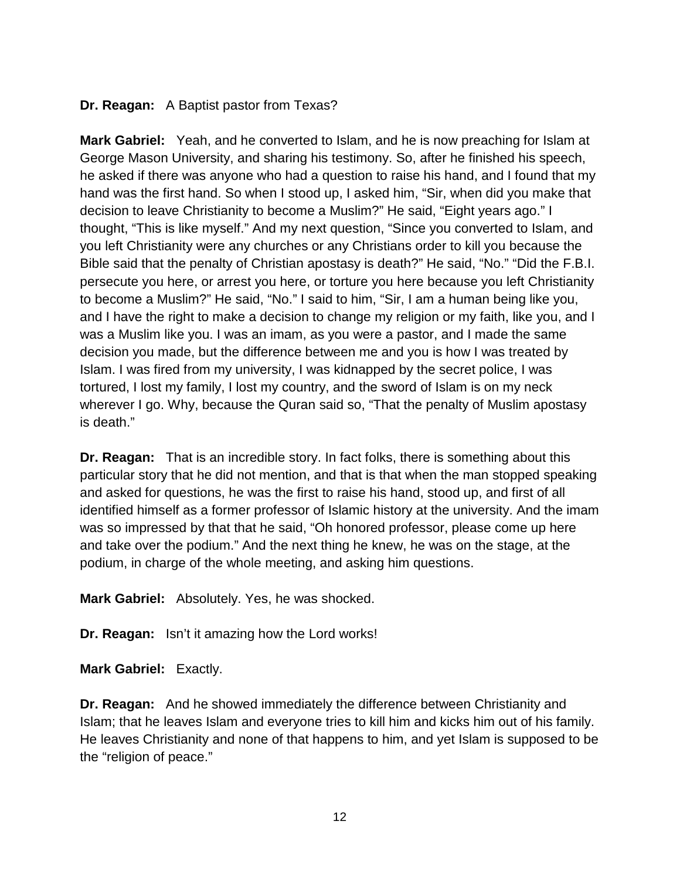#### **Dr. Reagan:** A Baptist pastor from Texas?

**Mark Gabriel:** Yeah, and he converted to Islam, and he is now preaching for Islam at George Mason University, and sharing his testimony. So, after he finished his speech, he asked if there was anyone who had a question to raise his hand, and I found that my hand was the first hand. So when I stood up, I asked him, "Sir, when did you make that decision to leave Christianity to become a Muslim?" He said, "Eight years ago." I thought, "This is like myself." And my next question, "Since you converted to Islam, and you left Christianity were any churches or any Christians order to kill you because the Bible said that the penalty of Christian apostasy is death?" He said, "No." "Did the F.B.I. persecute you here, or arrest you here, or torture you here because you left Christianity to become a Muslim?" He said, "No." I said to him, "Sir, I am a human being like you, and I have the right to make a decision to change my religion or my faith, like you, and I was a Muslim like you. I was an imam, as you were a pastor, and I made the same decision you made, but the difference between me and you is how I was treated by Islam. I was fired from my university, I was kidnapped by the secret police, I was tortured, I lost my family, I lost my country, and the sword of Islam is on my neck wherever I go. Why, because the Quran said so, "That the penalty of Muslim apostasy is death."

**Dr. Reagan:** That is an incredible story. In fact folks, there is something about this particular story that he did not mention, and that is that when the man stopped speaking and asked for questions, he was the first to raise his hand, stood up, and first of all identified himself as a former professor of Islamic history at the university. And the imam was so impressed by that that he said, "Oh honored professor, please come up here and take over the podium." And the next thing he knew, he was on the stage, at the podium, in charge of the whole meeting, and asking him questions.

**Mark Gabriel:** Absolutely. Yes, he was shocked.

**Dr. Reagan:** Isn't it amazing how the Lord works!

**Mark Gabriel:** Exactly.

**Dr. Reagan:** And he showed immediately the difference between Christianity and Islam; that he leaves Islam and everyone tries to kill him and kicks him out of his family. He leaves Christianity and none of that happens to him, and yet Islam is supposed to be the "religion of peace."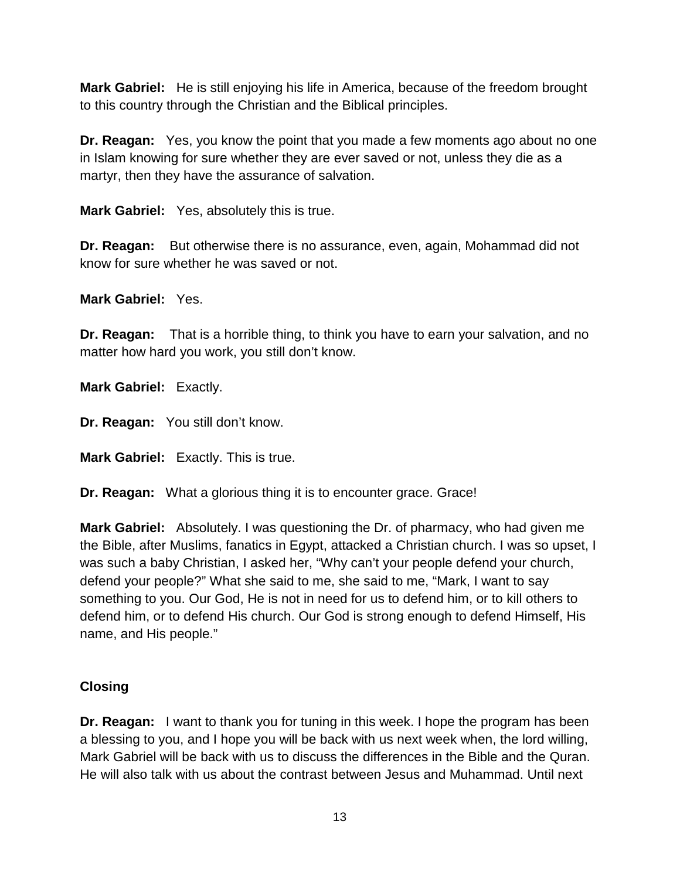**Mark Gabriel:** He is still enjoying his life in America, because of the freedom brought to this country through the Christian and the Biblical principles.

**Dr. Reagan:** Yes, you know the point that you made a few moments ago about no one in Islam knowing for sure whether they are ever saved or not, unless they die as a martyr, then they have the assurance of salvation.

**Mark Gabriel:** Yes, absolutely this is true.

**Dr. Reagan:** But otherwise there is no assurance, even, again, Mohammad did not know for sure whether he was saved or not.

**Mark Gabriel:** Yes.

**Dr. Reagan:** That is a horrible thing, to think you have to earn your salvation, and no matter how hard you work, you still don't know.

**Mark Gabriel:** Exactly.

**Dr. Reagan:** You still don't know.

**Mark Gabriel:** Exactly. This is true.

**Dr. Reagan:** What a glorious thing it is to encounter grace. Grace!

**Mark Gabriel:** Absolutely. I was questioning the Dr. of pharmacy, who had given me the Bible, after Muslims, fanatics in Egypt, attacked a Christian church. I was so upset, I was such a baby Christian, I asked her, "Why can't your people defend your church, defend your people?" What she said to me, she said to me, "Mark, I want to say something to you. Our God, He is not in need for us to defend him, or to kill others to defend him, or to defend His church. Our God is strong enough to defend Himself, His name, and His people."

## **Closing**

**Dr. Reagan:** I want to thank you for tuning in this week. I hope the program has been a blessing to you, and I hope you will be back with us next week when, the lord willing, Mark Gabriel will be back with us to discuss the differences in the Bible and the Quran. He will also talk with us about the contrast between Jesus and Muhammad. Until next